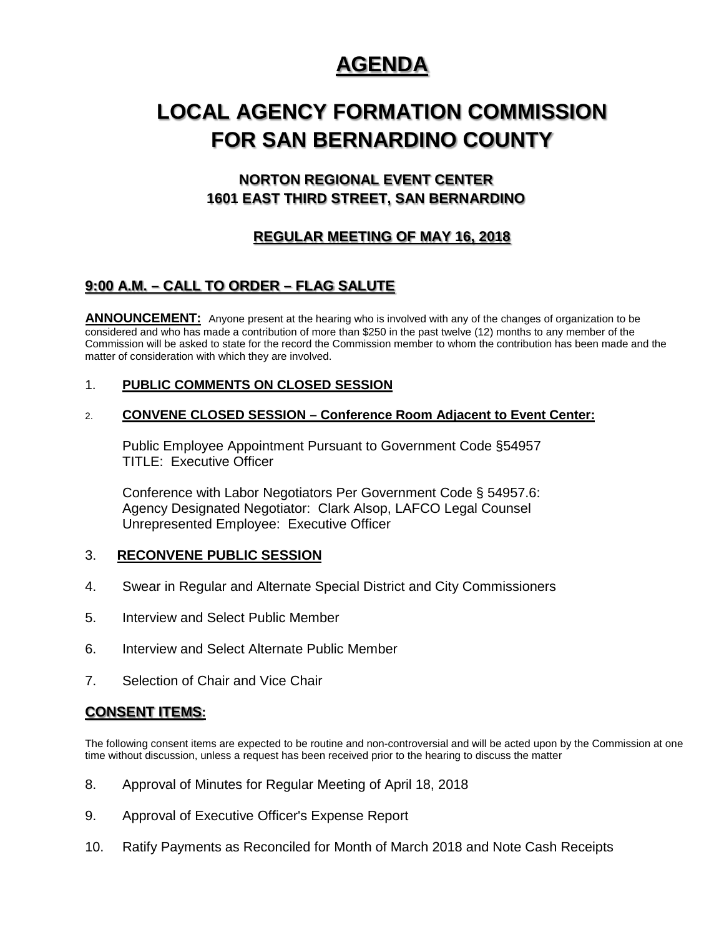## **AGENDA**

# **LOCAL AGENCY FORMATION COMMISSION FOR SAN BERNARDINO COUNTY**

## **NORTON REGIONAL EVENT CENTER 1601 EAST THIRD STREET, SAN BERNARDINO**

## **REGULAR MEETING OF MAY 16, 2018**

## **9:00 A.M. – CALL TO ORDER – FLAG SALUTE**

**ANNOUNCEMENT:** Anyone present at the hearing who is involved with any of the changes of organization to be considered and who has made a contribution of more than \$250 in the past twelve (12) months to any member of the Commission will be asked to state for the record the Commission member to whom the contribution has been made and the matter of consideration with which they are involved.

#### 1. **PUBLIC COMMENTS ON CLOSED SESSION**

#### 2. **CONVENE CLOSED SESSION – Conference Room Adjacent to Event Center:**

Public Employee Appointment Pursuant to Government Code §54957 TITLE: Executive Officer

Conference with Labor Negotiators Per Government Code § 54957.6: Agency Designated Negotiator: Clark Alsop, LAFCO Legal Counsel Unrepresented Employee: Executive Officer

#### 3. **RECONVENE PUBLIC SESSION**

- 4. Swear in Regular and Alternate Special District and City Commissioners
- 5. Interview and Select Public Member
- 6. Interview and Select Alternate Public Member
- 7. Selection of Chair and Vice Chair

## **CONSENT ITEMS:**

The following consent items are expected to be routine and non-controversial and will be acted upon by the Commission at one time without discussion, unless a request has been received prior to the hearing to discuss the matter

- 8. Approval of Minutes for Regular Meeting of April 18, 2018
- 9. Approval of Executive Officer's Expense Report
- 10. Ratify Payments as Reconciled for Month of March 2018 and Note Cash Receipts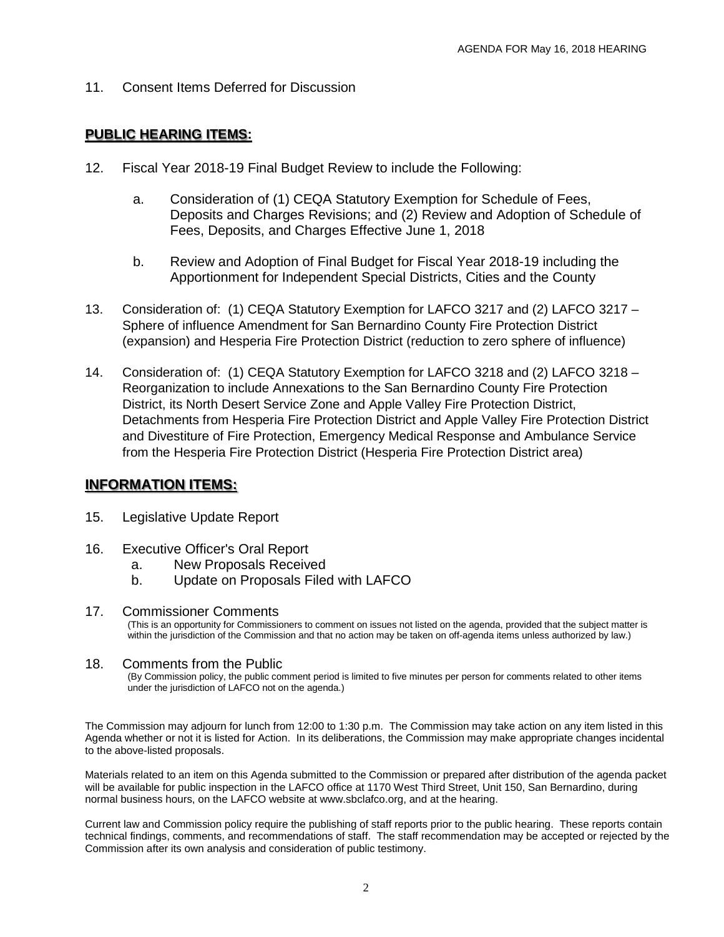11. Consent Items Deferred for Discussion

#### **PUBLIC HEARING ITEMS:**

- 12. Fiscal Year 2018-19 Final Budget Review to include the Following:
	- a. Consideration of (1) CEQA Statutory Exemption for Schedule of Fees, Deposits and Charges Revisions; and (2) Review and Adoption of Schedule of Fees, Deposits, and Charges Effective June 1, 2018
	- b. Review and Adoption of Final Budget for Fiscal Year 2018-19 including the Apportionment for Independent Special Districts, Cities and the County
- 13. Consideration of: (1) CEQA Statutory Exemption for LAFCO 3217 and (2) LAFCO 3217 Sphere of influence Amendment for San Bernardino County Fire Protection District (expansion) and Hesperia Fire Protection District (reduction to zero sphere of influence)
- 14. Consideration of: (1) CEQA Statutory Exemption for LAFCO 3218 and (2) LAFCO 3218 Reorganization to include Annexations to the San Bernardino County Fire Protection District, its North Desert Service Zone and Apple Valley Fire Protection District, Detachments from Hesperia Fire Protection District and Apple Valley Fire Protection District and Divestiture of Fire Protection, Emergency Medical Response and Ambulance Service from the Hesperia Fire Protection District (Hesperia Fire Protection District area)

#### **INFORMATION ITEMS:**

- 15. Legislative Update Report
- 16. Executive Officer's Oral Report
	- a. New Proposals Received
	- b. Update on Proposals Filed with LAFCO
- 17. Commissioner Comments

(This is an opportunity for Commissioners to comment on issues not listed on the agenda, provided that the subject matter is within the jurisdiction of the Commission and that no action may be taken on off-agenda items unless authorized by law.)

#### 18. Comments from the Public

(By Commission policy, the public comment period is limited to five minutes per person for comments related to other items under the jurisdiction of LAFCO not on the agenda.)

The Commission may adjourn for lunch from 12:00 to 1:30 p.m. The Commission may take action on any item listed in this Agenda whether or not it is listed for Action. In its deliberations, the Commission may make appropriate changes incidental to the above-listed proposals.

Materials related to an item on this Agenda submitted to the Commission or prepared after distribution of the agenda packet will be available for public inspection in the LAFCO office at 1170 West Third Street, Unit 150, San Bernardino, during normal business hours, on the LAFCO website at www.sbclafco.org, and at the hearing.

Current law and Commission policy require the publishing of staff reports prior to the public hearing. These reports contain technical findings, comments, and recommendations of staff. The staff recommendation may be accepted or rejected by the Commission after its own analysis and consideration of public testimony.